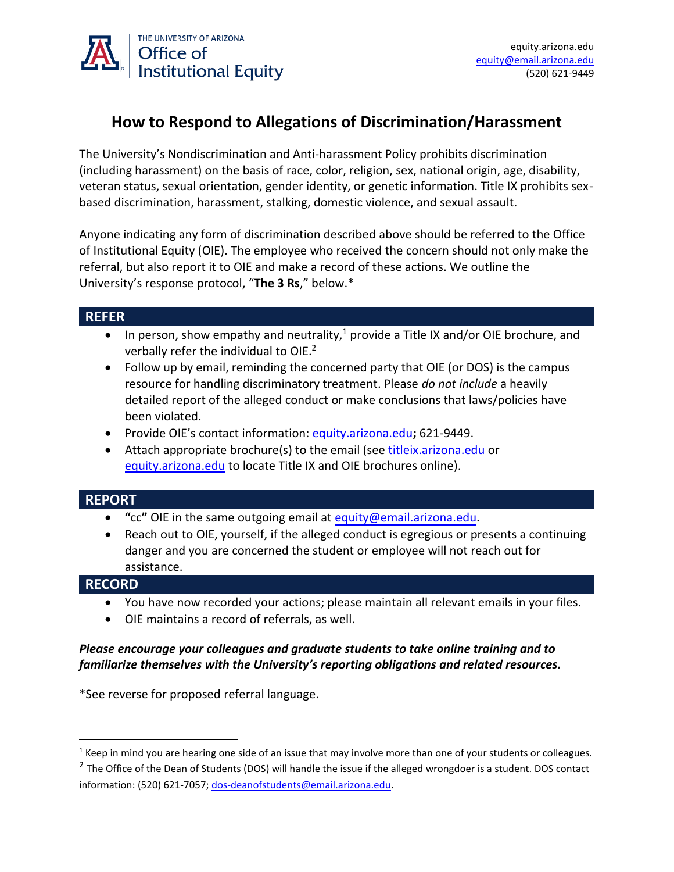

# **How to Respond to Allegations of Discrimination/Harassment**

The University's Nondiscrimination and Anti-harassment Policy prohibits discrimination (including harassment) on the basis of race, color, religion, sex, national origin, age, disability, veteran status, sexual orientation, gender identity, or genetic information. Title IX prohibits sexbased discrimination, harassment, stalking, domestic violence, and sexual assault.

Anyone indicating any form of discrimination described above should be referred to the Office of Institutional Equity (OIE). The employee who received the concern should not only make the referral, but also report it to OIE and make a record of these actions. We outline the University's response protocol, "**The 3 Rs**," below.\*

### **REFER**

- In person, show empathy and neutrality,<sup>1</sup> provide a Title IX and/or OIE brochure, and verbally refer the individual to OIE.<sup>2</sup>
- Follow up by email, reminding the concerned party that OIE (or DOS) is the campus resource for handling discriminatory treatment. Please *do not include* a heavily detailed report of the alleged conduct or make conclusions that laws/policies have been violated.
- Provide OIE's contact information[: equity.arizona.edu](http://www.equity.arizona.edu/)**;** 621-9449.
- Attach appropriate brochure(s) to the email (see [titleix.arizona.edu](http://www.titleix.arizona.edu/) or [equity.arizona.edu](http://www.equity.arizona.edu/) to locate Title IX and OIE brochures online).

### **REPORT**

- **"**cc**"** OIE in the same outgoing email at [equity@email.arizona.edu.](mailto:equity@email.arizona.edu)
- Reach out to OIE, yourself, if the alleged conduct is egregious or presents a continuing danger and you are concerned the student or employee will not reach out for assistance.

### **RECORD**

- You have now recorded your actions; please maintain all relevant emails in your files.
- OIE maintains a record of referrals, as well.

#### *Please encourage your colleagues and graduate students to take online training and to familiarize themselves with the University's reporting obligations and related resources.*

\*See reverse for proposed referral language.

 $1$  Keep in mind you are hearing one side of an issue that may involve more than one of your students or colleagues.

<sup>&</sup>lt;sup>2</sup> The Office of the Dean of Students (DOS) will handle the issue if the alleged wrongdoer is a student. DOS contact information: (520) 621-7057; [dos-deanofstudents@email.arizona.edu.](mailto:dos-deanofstudents@email.arizona.edu)